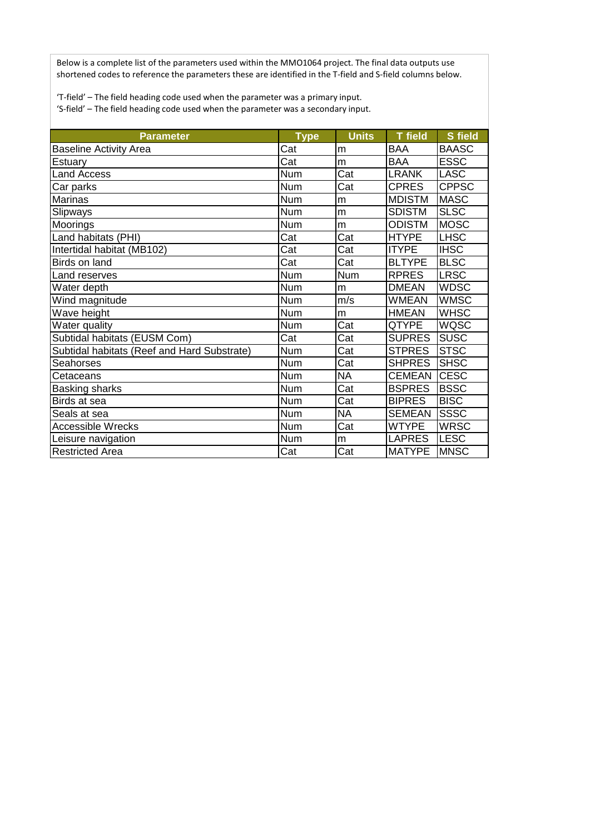Below is a complete list of the parameters used within the MMO1064 project. The final data outputs use shortened codes to reference the parameters these are identified in the T-field and S-field columns below.

'T-field' – The field heading code used when the parameter was a primary input.

'S-field' – The field heading code used when the parameter was a secondary input.

| <b>Parameter</b>                            | <b>Type</b> | <b>Units</b> | <b>T</b> field | <b>S</b> field |
|---------------------------------------------|-------------|--------------|----------------|----------------|
| <b>Baseline Activity Area</b>               | Cat         | m            | <b>BAA</b>     | <b>BAASC</b>   |
| <b>Estuary</b>                              | Cat         | m            | <b>BAA</b>     | <b>ESSC</b>    |
| <b>Land Access</b>                          | <b>Num</b>  | Cat          | <b>LRANK</b>   | <b>LASC</b>    |
| Car parks                                   | <b>Num</b>  | Cat          | <b>CPRES</b>   | <b>CPPSC</b>   |
| <b>Marinas</b>                              | <b>Num</b>  | m            | <b>MDISTM</b>  | <b>MASC</b>    |
| Slipways                                    | <b>Num</b>  | m            | <b>SDISTM</b>  | <b>SLSC</b>    |
| Moorings                                    | <b>Num</b>  | m            | <b>ODISTM</b>  | <b>MOSC</b>    |
| Land habitats (PHI)                         | Cat         | Cat          | <b>HTYPE</b>   | <b>LHSC</b>    |
| Intertidal habitat (MB102)                  | Cat         | Cat          | <b>ITYPE</b>   | <b>IHSC</b>    |
| Birds on land                               | Cat         | Cat          | <b>BLTYPE</b>  | <b>BLSC</b>    |
| Land reserves                               | <b>Num</b>  | <b>Num</b>   | <b>RPRES</b>   | <b>LRSC</b>    |
| Water depth                                 | <b>Num</b>  | m            | <b>DMEAN</b>   | <b>WDSC</b>    |
| Wind magnitude                              | <b>Num</b>  | m/s          | WMEAN          | <b>WMSC</b>    |
| Wave height                                 | <b>Num</b>  | m            | <b>HMEAN</b>   | <b>WHSC</b>    |
| Water quality                               | <b>Num</b>  | Cat          | QTYPE          | <b>WQSC</b>    |
| Subtidal habitats (EUSM Com)                | Cat         | Cat          | <b>SUPRES</b>  | <b>SUSC</b>    |
| Subtidal habitats (Reef and Hard Substrate) | <b>Num</b>  | Cat          | <b>STPRES</b>  | <b>STSC</b>    |
| <b>Seahorses</b>                            | <b>Num</b>  | Cat          | <b>SHPRES</b>  | <b>SHSC</b>    |
| Cetaceans                                   | <b>Num</b>  | <b>NA</b>    | <b>CEMEAN</b>  | <b>CESC</b>    |
| <b>Basking sharks</b>                       | <b>Num</b>  | Cat          | <b>BSPRES</b>  | <b>BSSC</b>    |
| Birds at sea                                | <b>Num</b>  | Cat          | <b>BIPRES</b>  | <b>BISC</b>    |
| Seals at sea                                | Num         | <b>NA</b>    | <b>SEMEAN</b>  | <b>SSSC</b>    |
| <b>Accessible Wrecks</b>                    | Num         | Cat          | <b>WTYPE</b>   | <b>WRSC</b>    |
| Leisure navigation                          | <b>Num</b>  | m            | <b>LAPRES</b>  | <b>LESC</b>    |
| <b>Restricted Area</b>                      | Cat         | Cat          | <b>MATYPE</b>  | <b>MNSC</b>    |